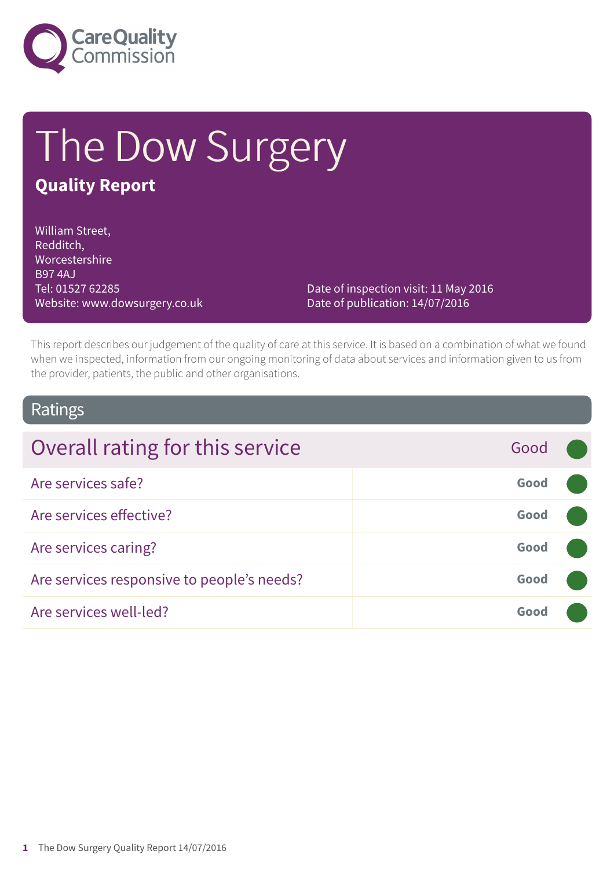

# The Dow Surgery **Quality Report**

William Street, Redditch, Worcestershire B97 4AJ Tel: 01527 62285 Website: www.dowsurgery.co.uk

Date of inspection visit: 11 May 2016 Date of publication: 14/07/2016

This report describes our judgement of the quality of care at this service. It is based on a combination of what we found when we inspected, information from our ongoing monitoring of data about services and information given to us from the provider, patients, the public and other organisations.

### Ratings

| Overall rating for this service            | Good |  |
|--------------------------------------------|------|--|
| Are services safe?                         | Good |  |
| Are services effective?                    | Good |  |
| Are services caring?                       | Good |  |
| Are services responsive to people's needs? | Good |  |
| Are services well-led?                     | Good |  |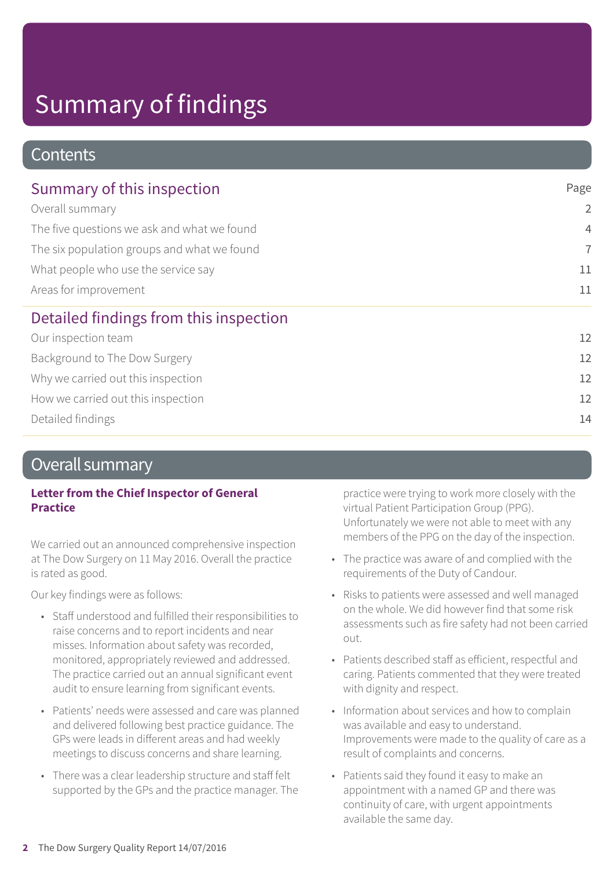### **Contents**

| Summary of this inspection                                                                                                                                                    | Page           |
|-------------------------------------------------------------------------------------------------------------------------------------------------------------------------------|----------------|
| Overall summary<br>The five questions we ask and what we found<br>The six population groups and what we found<br>What people who use the service say<br>Areas for improvement | $\overline{2}$ |
|                                                                                                                                                                               | $\overline{4}$ |
|                                                                                                                                                                               | $\overline{7}$ |
|                                                                                                                                                                               | 11             |
|                                                                                                                                                                               | 11             |
| Detailed findings from this inspection                                                                                                                                        |                |
| Our inspection team                                                                                                                                                           | 12             |
| Background to The Dow Surgery                                                                                                                                                 | 12             |
| Why we carried out this inspection                                                                                                                                            | 12             |
| How we carried out this inspection                                                                                                                                            | 12             |
| Detailed findings                                                                                                                                                             | 14             |

### Overall summary

### **Letter from the Chief Inspector of General Practice**

We carried out an announced comprehensive inspection at The Dow Surgery on 11 May 2016. Overall the practice is rated as good.

Our key findings were as follows:

- Staff understood and fulfilled their responsibilities to raise concerns and to report incidents and near misses. Information about safety was recorded, monitored, appropriately reviewed and addressed. The practice carried out an annual significant event audit to ensure learning from significant events.
- Patients' needs were assessed and care was planned and delivered following best practice guidance. The GPs were leads in different areas and had weekly meetings to discuss concerns and share learning.
- There was a clear leadership structure and staff felt supported by the GPs and the practice manager. The

practice were trying to work more closely with the virtual Patient Participation Group (PPG). Unfortunately we were not able to meet with any members of the PPG on the day of the inspection.

- The practice was aware of and complied with the requirements of the Duty of Candour.
- Risks to patients were assessed and well managed on the whole. We did however find that some risk assessments such as fire safety had not been carried out.
- Patients described staff as efficient, respectful and caring. Patients commented that they were treated with dignity and respect.
- Information about services and how to complain was available and easy to understand. Improvements were made to the quality of care as a result of complaints and concerns.
- Patients said they found it easy to make an appointment with a named GP and there was continuity of care, with urgent appointments available the same day.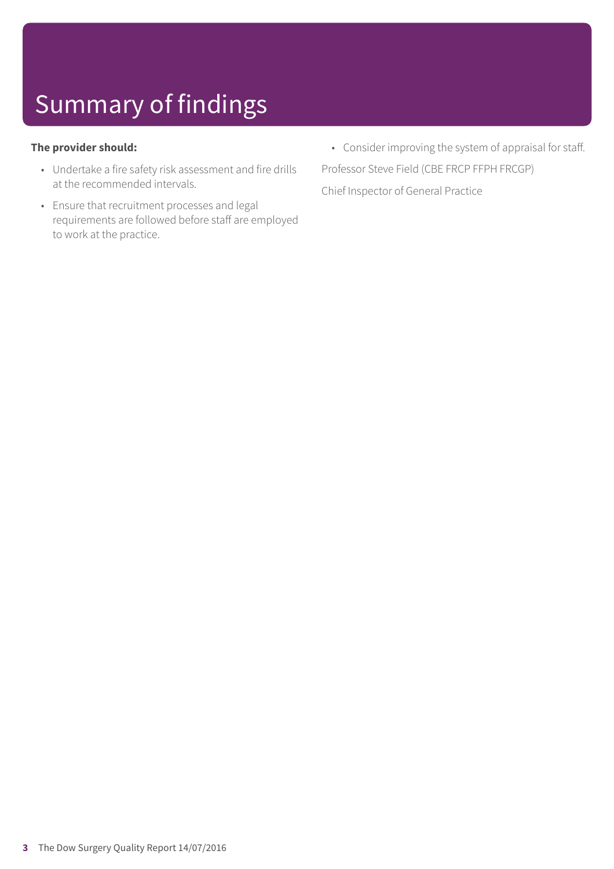#### **The provider should:**

- Undertake a fire safety risk assessment and fire drills at the recommended intervals.
- Ensure that recruitment processes and legal requirements are followed before staff are employed to work at the practice.
- Consider improving the system of appraisal for staff. Professor Steve Field (CBE FRCP FFPH FRCGP) Chief Inspector of General Practice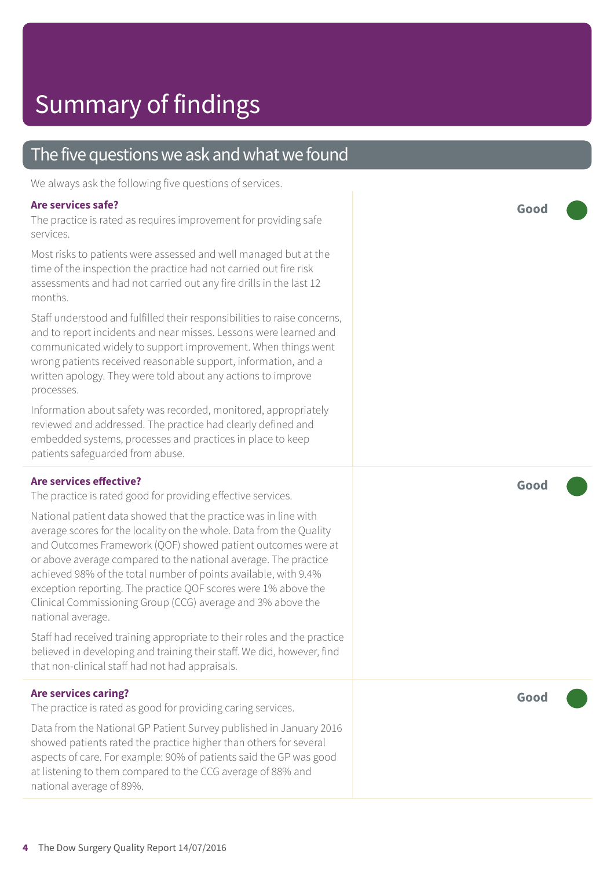### The five questions we ask and what we found

We always ask the following five questions of services.

#### **Are services safe?**

The practice is rated as requires improvement for providing safe services.

Most risks to patients were assessed and well managed but at the time of the inspection the practice had not carried out fire risk assessments and had not carried out any fire drills in the last 12 months.

Staff understood and fulfilled their responsibilities to raise concerns, and to report incidents and near misses. Lessons were learned and communicated widely to support improvement. When things went wrong patients received reasonable support, information, and a written apology. They were told about any actions to improve processes.

Information about safety was recorded, monitored, appropriately reviewed and addressed. The practice had clearly defined and embedded systems, processes and practices in place to keep patients safeguarded from abuse.

#### **Are services effective?**

The practice is rated good for providing effective services.

National patient data showed that the practice was in line with average scores for the locality on the whole. Data from the Quality and Outcomes Framework (QOF) showed patient outcomes were at or above average compared to the national average. The practice achieved 98% of the total number of points available, with 9.4% exception reporting. The practice QOF scores were 1% above the Clinical Commissioning Group (CCG) average and 3% above the national average.

Staff had received training appropriate to their roles and the practice believed in developing and training their staff. We did, however, find that non-clinical staff had not had appraisals.

#### **Are services caring?**

The practice is rated as good for providing caring services.

Data from the National GP Patient Survey published in January 2016 showed patients rated the practice higher than others for several aspects of care. For example: 90% of patients said the GP was good at listening to them compared to the CCG average of 88% and national average of 89%.

**Good –––**

**Good –––**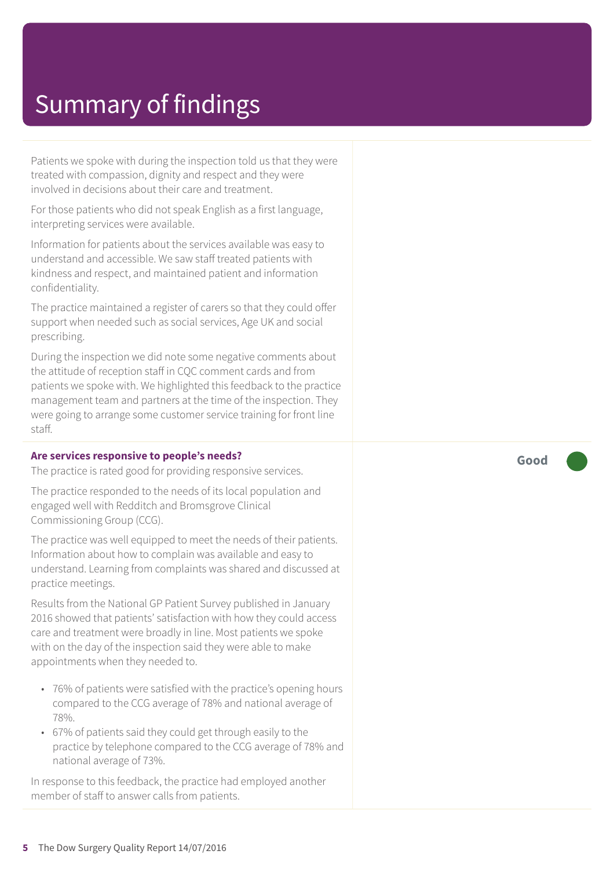Patients we spoke with during the inspection told us that they were treated with compassion, dignity and respect and they were involved in decisions about their care and treatment.

For those patients who did not speak English as a first language, interpreting services were available.

Information for patients about the services available was easy to understand and accessible. We saw staff treated patients with kindness and respect, and maintained patient and information confidentiality.

The practice maintained a register of carers so that they could offer support when needed such as social services, Age UK and social prescribing.

During the inspection we did note some negative comments about the attitude of reception staff in CQC comment cards and from patients we spoke with. We highlighted this feedback to the practice management team and partners at the time of the inspection. They were going to arrange some customer service training for front line staff.

#### **Are services responsive to people's needs?**

The practice is rated good for providing responsive services.

The practice responded to the needs of its local population and engaged well with Redditch and Bromsgrove Clinical Commissioning Group (CCG).

The practice was well equipped to meet the needs of their patients. Information about how to complain was available and easy to understand. Learning from complaints was shared and discussed at practice meetings.

Results from the National GP Patient Survey published in January 2016 showed that patients' satisfaction with how they could access care and treatment were broadly in line. Most patients we spoke with on the day of the inspection said they were able to make appointments when they needed to.

- 76% of patients were satisfied with the practice's opening hours compared to the CCG average of 78% and national average of 78%.
- 67% of patients said they could get through easily to the practice by telephone compared to the CCG average of 78% and national average of 73%.

In response to this feedback, the practice had employed another member of staff to answer calls from patients.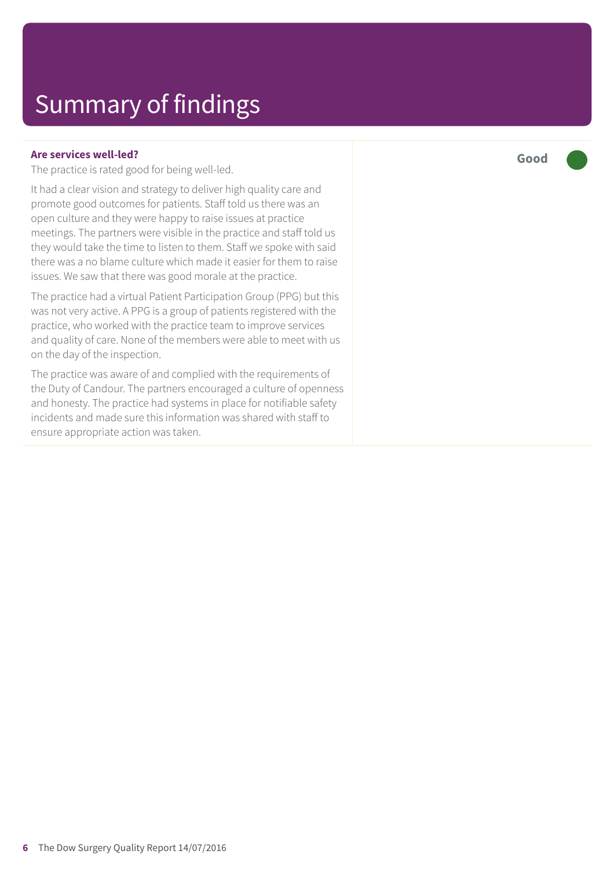#### **Are services well-led?**

The practice is rated good for being well-led.

It had a clear vision and strategy to deliver high quality care and promote good outcomes for patients. Staff told us there was an open culture and they were happy to raise issues at practice meetings. The partners were visible in the practice and staff told us they would take the time to listen to them. Staff we spoke with said there was a no blame culture which made it easier for them to raise issues. We saw that there was good morale at the practice.

The practice had a virtual Patient Participation Group (PPG) but this was not very active. A PPG is a group of patients registered with the practice, who worked with the practice team to improve services and quality of care. None of the members were able to meet with us on the day of the inspection.

The practice was aware of and complied with the requirements of the Duty of Candour. The partners encouraged a culture of openness and honesty. The practice had systems in place for notifiable safety incidents and made sure this information was shared with staff to ensure appropriate action was taken.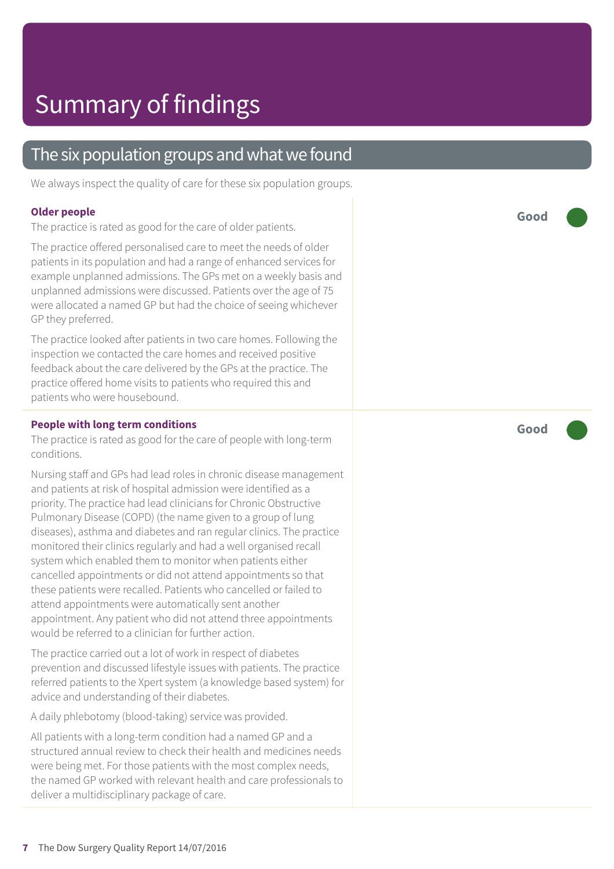### The six population groups and what we found

We always inspect the quality of care for these six population groups.

#### **Older people**

The practice is rated as good for the care of older patients.

The practice offered personalised care to meet the needs of older patients in its population and had a range of enhanced services for example unplanned admissions. The GPs met on a weekly basis and unplanned admissions were discussed. Patients over the age of 75 were allocated a named GP but had the choice of seeing whichever GP they preferred.

The practice looked after patients in two care homes. Following the inspection we contacted the care homes and received positive feedback about the care delivered by the GPs at the practice. The practice offered home visits to patients who required this and patients who were housebound.

#### **People with long term conditions**

The practice is rated as good for the care of people with long-term conditions.

Nursing staff and GPs had lead roles in chronic disease management and patients at risk of hospital admission were identified as a priority. The practice had lead clinicians for Chronic Obstructive Pulmonary Disease (COPD) (the name given to a group of lung diseases), asthma and diabetes and ran regular clinics. The practice monitored their clinics regularly and had a well organised recall system which enabled them to monitor when patients either cancelled appointments or did not attend appointments so that these patients were recalled. Patients who cancelled or failed to attend appointments were automatically sent another appointment. Any patient who did not attend three appointments would be referred to a clinician for further action.

The practice carried out a lot of work in respect of diabetes prevention and discussed lifestyle issues with patients. The practice referred patients to the Xpert system (a knowledge based system) for advice and understanding of their diabetes.

A daily phlebotomy (blood-taking) service was provided.

All patients with a long-term condition had a named GP and a structured annual review to check their health and medicines needs were being met. For those patients with the most complex needs, the named GP worked with relevant health and care professionals to deliver a multidisciplinary package of care.

**Good –––**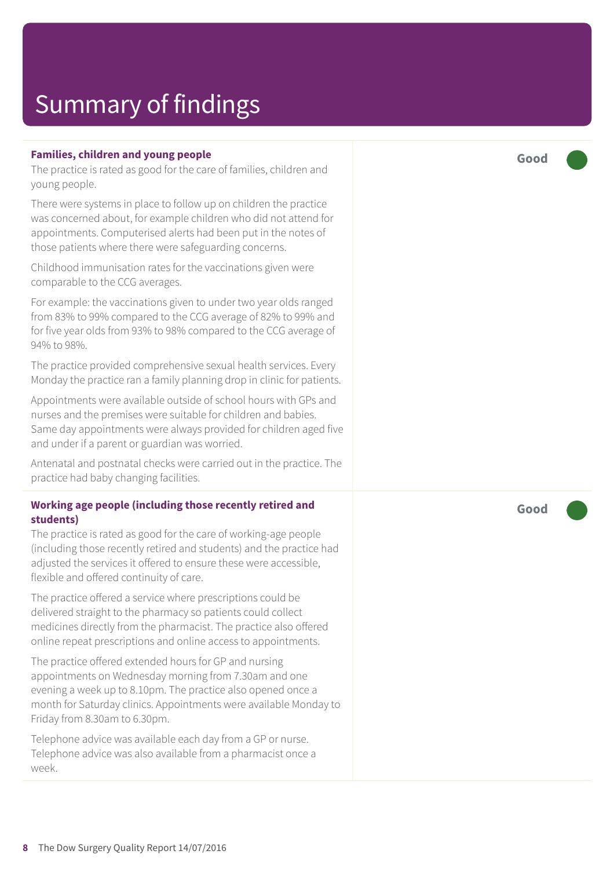### **Families, children and young people**

The practice is rated as good for the care of families, children and young people.

There were systems in place to follow up on children the practice was concerned about, for example children who did not attend for appointments. Computerised alerts had been put in the notes of those patients where there were safeguarding concerns.

Childhood immunisation rates for the vaccinations given were comparable to the CCG averages.

For example: the vaccinations given to under two year olds ranged from 83% to 99% compared to the CCG average of 82% to 99% and for five year olds from 93% to 98% compared to the CCG average of 94% to 98%.

The practice provided comprehensive sexual health services. Every Monday the practice ran a family planning drop in clinic for patients.

Appointments were available outside of school hours with GPs and nurses and the premises were suitable for children and babies. Same day appointments were always provided for children aged five and under if a parent or guardian was worried.

Antenatal and postnatal checks were carried out in the practice. The practice had baby changing facilities.

#### **Working age people (including those recently retired and students)**

The practice is rated as good for the care of working-age people (including those recently retired and students) and the practice had adjusted the services it offered to ensure these were accessible, flexible and offered continuity of care.

The practice offered a service where prescriptions could be delivered straight to the pharmacy so patients could collect medicines directly from the pharmacist. The practice also offered online repeat prescriptions and online access to appointments.

The practice offered extended hours for GP and nursing appointments on Wednesday morning from 7.30am and one evening a week up to 8.10pm. The practice also opened once a month for Saturday clinics. Appointments were available Monday to Friday from 8.30am to 6.30pm.

Telephone advice was available each day from a GP or nurse. Telephone advice was also available from a pharmacist once a week.

**Good –––**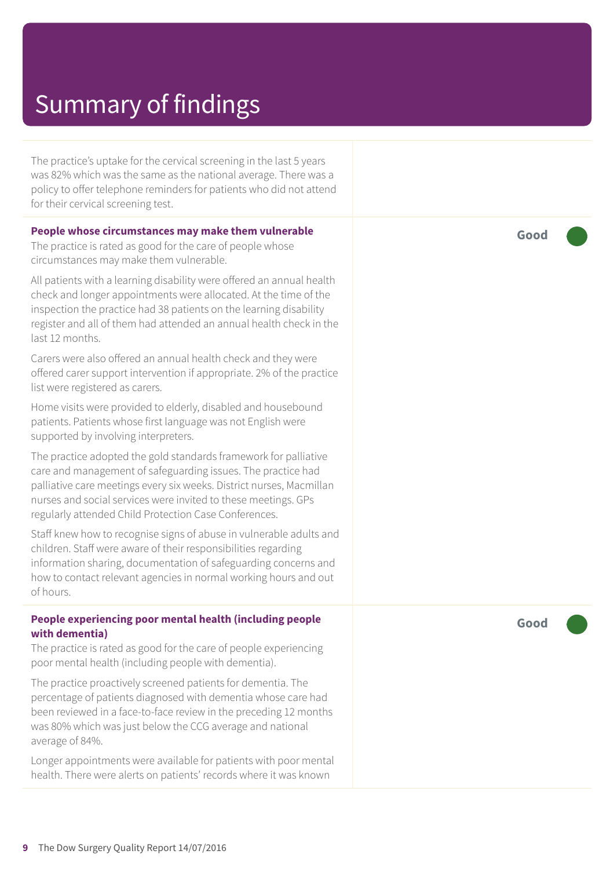The practice's uptake for the cervical screening in the last 5 years was 82% which was the same as the national average. There was a policy to offer telephone reminders for patients who did not attend for their cervical screening test.

#### **People whose circumstances may make them vulnerable**

The practice is rated as good for the care of people whose circumstances may make them vulnerable.

All patients with a learning disability were offered an annual health check and longer appointments were allocated. At the time of the inspection the practice had 38 patients on the learning disability register and all of them had attended an annual health check in the last 12 months.

Carers were also offered an annual health check and they were offered carer support intervention if appropriate. 2% of the practice list were registered as carers.

Home visits were provided to elderly, disabled and housebound patients. Patients whose first language was not English were supported by involving interpreters.

The practice adopted the gold standards framework for palliative care and management of safeguarding issues. The practice had palliative care meetings every six weeks. District nurses, Macmillan nurses and social services were invited to these meetings. GPs regularly attended Child Protection Case Conferences.

Staff knew how to recognise signs of abuse in vulnerable adults and children. Staff were aware of their responsibilities regarding information sharing, documentation of safeguarding concerns and how to contact relevant agencies in normal working hours and out of hours.

#### **People experiencing poor mental health (including people with dementia)**

The practice is rated as good for the care of people experiencing poor mental health (including people with dementia).

The practice proactively screened patients for dementia. The percentage of patients diagnosed with dementia whose care had been reviewed in a face-to-face review in the preceding 12 months was 80% which was just below the CCG average and national average of 84%.

Longer appointments were available for patients with poor mental health. There were alerts on patients' records where it was known

**Good –––**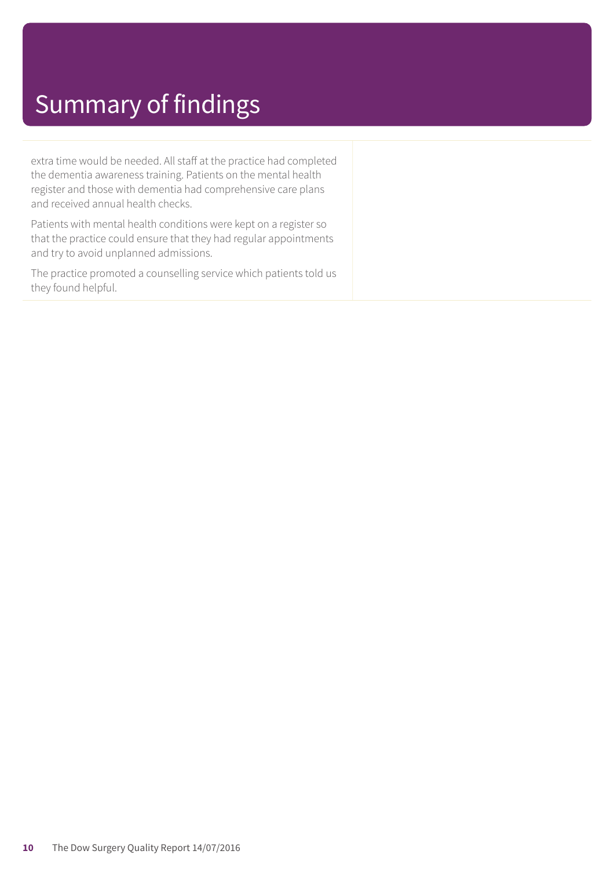extra time would be needed. All staff at the practice had completed the dementia awareness training. Patients on the mental health register and those with dementia had comprehensive care plans and received annual health checks.

Patients with mental health conditions were kept on a register so that the practice could ensure that they had regular appointments and try to avoid unplanned admissions.

The practice promoted a counselling service which patients told us they found helpful.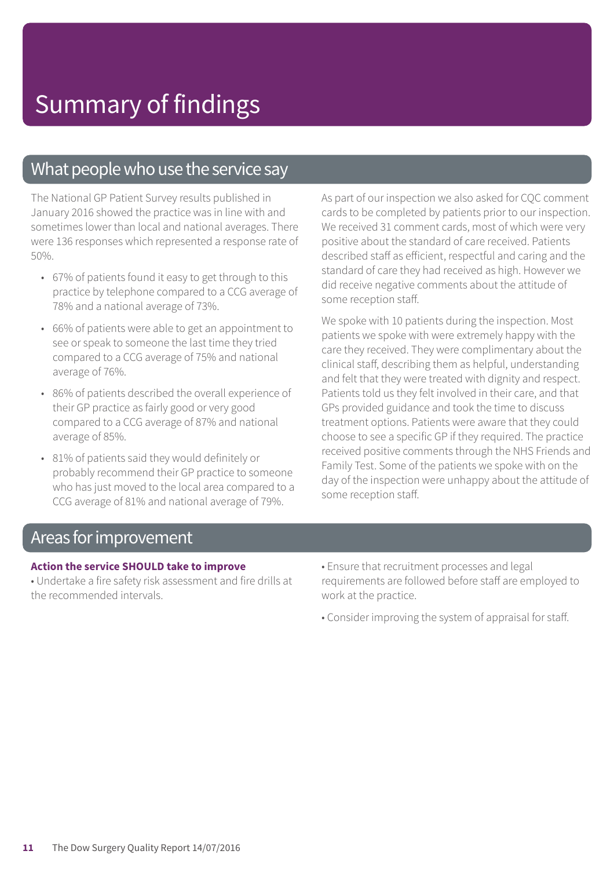### What people who use the service say

The National GP Patient Survey results published in January 2016 showed the practice was in line with and sometimes lower than local and national averages. There were 136 responses which represented a response rate of 50%.

- 67% of patients found it easy to get through to this practice by telephone compared to a CCG average of 78% and a national average of 73%.
- 66% of patients were able to get an appointment to see or speak to someone the last time they tried compared to a CCG average of 75% and national average of 76%.
- 86% of patients described the overall experience of their GP practice as fairly good or very good compared to a CCG average of 87% and national average of 85%.
- 81% of patients said they would definitely or probably recommend their GP practice to someone who has just moved to the local area compared to a CCG average of 81% and national average of 79%.

As part of our inspection we also asked for CQC comment cards to be completed by patients prior to our inspection. We received 31 comment cards, most of which were very positive about the standard of care received. Patients described staff as efficient, respectful and caring and the standard of care they had received as high. However we did receive negative comments about the attitude of some reception staff.

We spoke with 10 patients during the inspection. Most patients we spoke with were extremely happy with the care they received. They were complimentary about the clinical staff, describing them as helpful, understanding and felt that they were treated with dignity and respect. Patients told us they felt involved in their care, and that GPs provided guidance and took the time to discuss treatment options. Patients were aware that they could choose to see a specific GP if they required. The practice received positive comments through the NHS Friends and Family Test. Some of the patients we spoke with on the day of the inspection were unhappy about the attitude of some reception staff.

### Areas forimprovement

#### **Action the service SHOULD take to improve**

• Undertake a fire safety risk assessment and fire drills at the recommended intervals.

- Ensure that recruitment processes and legal requirements are followed before staff are employed to work at the practice.
- Consider improving the system of appraisal for staff.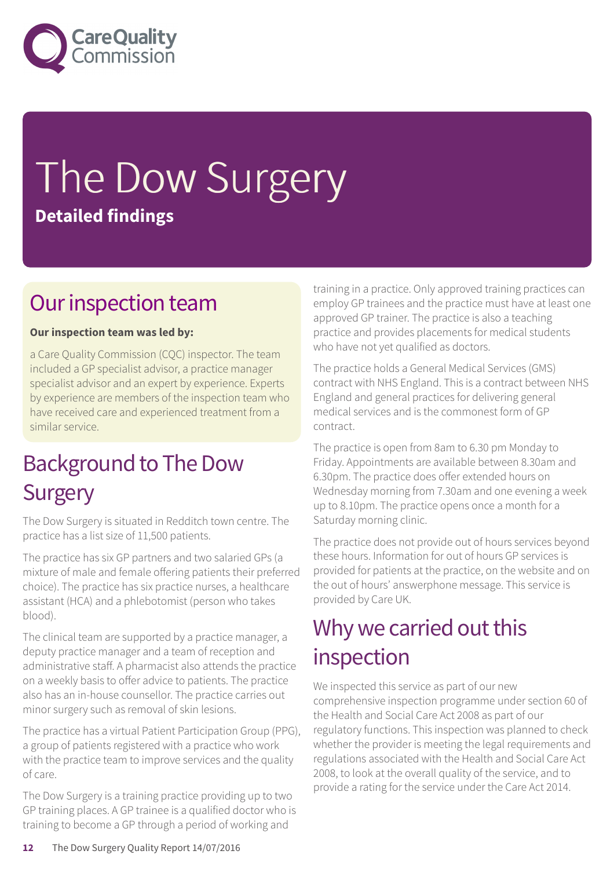

# The Dow Surgery **Detailed findings**

### Our inspection team

### **Our inspection team was led by:**

a Care Quality Commission (CQC) inspector. The team included a GP specialist advisor, a practice manager specialist advisor and an expert by experience. Experts by experience are members of the inspection team who have received care and experienced treatment from a similar service.

### Background to The Dow **Surgery**

The Dow Surgery is situated in Redditch town centre. The practice has a list size of 11,500 patients.

The practice has six GP partners and two salaried GPs (a mixture of male and female offering patients their preferred choice). The practice has six practice nurses, a healthcare assistant (HCA) and a phlebotomist (person who takes blood).

The clinical team are supported by a practice manager, a deputy practice manager and a team of reception and administrative staff. A pharmacist also attends the practice on a weekly basis to offer advice to patients. The practice also has an in-house counsellor. The practice carries out minor surgery such as removal of skin lesions.

The practice has a virtual Patient Participation Group (PPG), a group of patients registered with a practice who work with the practice team to improve services and the quality of care.

The Dow Surgery is a training practice providing up to two GP training places. A GP trainee is a qualified doctor who is training to become a GP through a period of working and

training in a practice. Only approved training practices can employ GP trainees and the practice must have at least one approved GP trainer. The practice is also a teaching practice and provides placements for medical students who have not yet qualified as doctors.

The practice holds a General Medical Services (GMS) contract with NHS England. This is a contract between NHS England and general practices for delivering general medical services and is the commonest form of GP contract.

The practice is open from 8am to 6.30 pm Monday to Friday. Appointments are available between 8.30am and 6.30pm. The practice does offer extended hours on Wednesday morning from 7.30am and one evening a week up to 8.10pm. The practice opens once a month for a Saturday morning clinic.

The practice does not provide out of hours services beyond these hours. Information for out of hours GP services is provided for patients at the practice, on the website and on the out of hours' answerphone message. This service is provided by Care UK.

### Why we carried out this inspection

We inspected this service as part of our new comprehensive inspection programme under section 60 of the Health and Social Care Act 2008 as part of our regulatory functions. This inspection was planned to check whether the provider is meeting the legal requirements and regulations associated with the Health and Social Care Act 2008, to look at the overall quality of the service, and to provide a rating for the service under the Care Act 2014.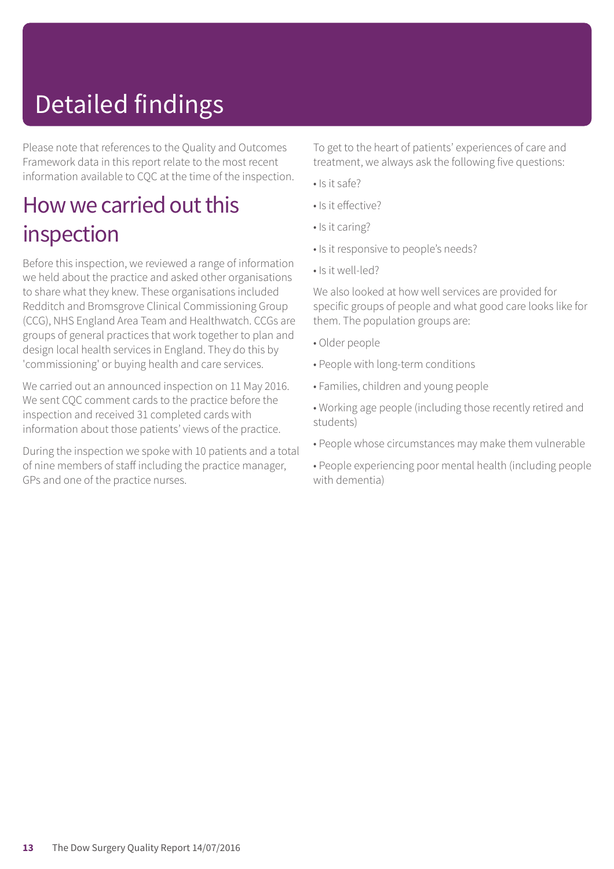# Detailed findings

Please note that references to the Quality and Outcomes Framework data in this report relate to the most recent information available to CQC at the time of the inspection.

### How we carried out this inspection

Before this inspection, we reviewed a range of information we held about the practice and asked other organisations to share what they knew. These organisations included Redditch and Bromsgrove Clinical Commissioning Group (CCG), NHS England Area Team and Healthwatch. CCGs are groups of general practices that work together to plan and design local health services in England. They do this by 'commissioning' or buying health and care services.

We carried out an announced inspection on 11 May 2016. We sent CQC comment cards to the practice before the inspection and received 31 completed cards with information about those patients' views of the practice.

During the inspection we spoke with 10 patients and a total of nine members of staff including the practice manager, GPs and one of the practice nurses.

To get to the heart of patients' experiences of care and treatment, we always ask the following five questions:

- Is it safe?
- Is it effective?
- Is it caring?
- Is it responsive to people's needs?
- Is it well-led?

We also looked at how well services are provided for specific groups of people and what good care looks like for them. The population groups are:

- Older people
- People with long-term conditions
- Families, children and young people
- Working age people (including those recently retired and students)
- People whose circumstances may make them vulnerable
- People experiencing poor mental health (including people with dementia)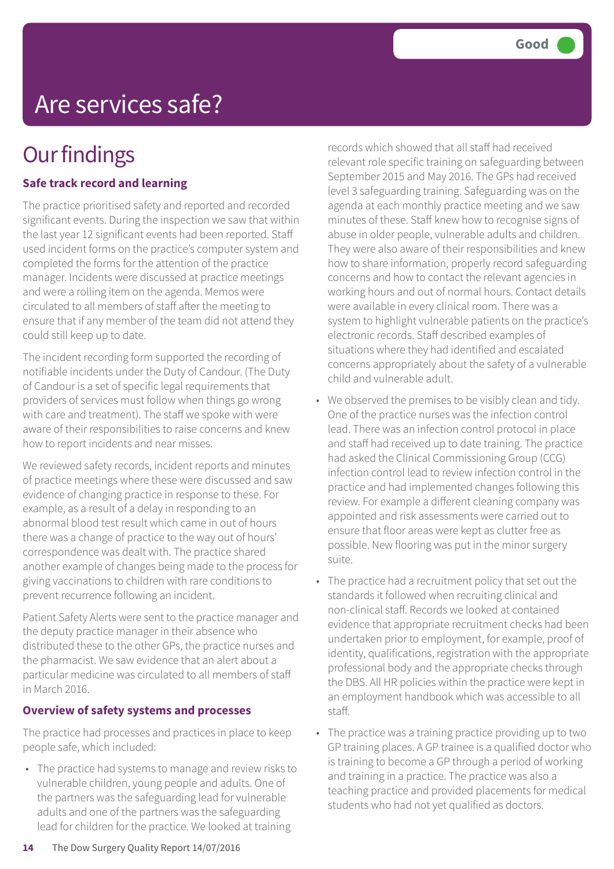## Are services safe?

## **Our findings**

### **Safe track record and learning**

The practice prioritised safety and reported and recorded significant events. During the inspection we saw that within the last year 12 significant events had been reported. Staff used incident forms on the practice's computer system and completed the forms for the attention of the practice manager. Incidents were discussed at practice meetings and were a rolling item on the agenda. Memos were circulated to all members of staff after the meeting to ensure that if any member of the team did not attend they could still keep up to date.

The incident recording form supported the recording of notifiable incidents under the Duty of Candour. (The Duty of Candour is a set of specific legal requirements that providers of services must follow when things go wrong with care and treatment). The staff we spoke with were aware of their responsibilities to raise concerns and knew how to report incidents and near misses.

We reviewed safety records, incident reports and minutes of practice meetings where these were discussed and saw evidence of changing practice in response to these. For example, as a result of a delay in responding to an abnormal blood test result which came in out of hours there was a change of practice to the way out of hours' correspondence was dealt with. The practice shared another example of changes being made to the process for giving vaccinations to children with rare conditions to prevent recurrence following an incident.

Patient Safety Alerts were sent to the practice manager and the deputy practice manager in their absence who distributed these to the other GPs, the practice nurses and the pharmacist. We saw evidence that an alert about a particular medicine was circulated to all members of staff in March 2016.

#### **Overview of safety systems and processes**

The practice had processes and practices in place to keep people safe, which included:

• The practice had systems to manage and review risks to vulnerable children, young people and adults. One of the partners was the safeguarding lead for vulnerable adults and one of the partners was the safeguarding lead for children for the practice. We looked at training

records which showed that all staff had received relevant role specific training on safeguarding between September 2015 and May 2016. The GPs had received level 3 safeguarding training. Safeguarding was on the agenda at each monthly practice meeting and we saw minutes of these. Staff knew how to recognise signs of abuse in older people, vulnerable adults and children. They were also aware of their responsibilities and knew how to share information, properly record safeguarding concerns and how to contact the relevant agencies in working hours and out of normal hours. Contact details were available in every clinical room. There was a system to highlight vulnerable patients on the practice's electronic records. Staff described examples of situations where they had identified and escalated concerns appropriately about the safety of a vulnerable child and vulnerable adult.

- We observed the premises to be visibly clean and tidy. One of the practice nurses was the infection control lead. There was an infection control protocol in place and staff had received up to date training. The practice had asked the Clinical Commissioning Group (CCG) infection control lead to review infection control in the practice and had implemented changes following this review. For example a different cleaning company was appointed and risk assessments were carried out to ensure that floor areas were kept as clutter free as possible. New flooring was put in the minor surgery suite.
- The practice had a recruitment policy that set out the standards it followed when recruiting clinical and non-clinical staff. Records we looked at contained evidence that appropriate recruitment checks had been undertaken prior to employment, for example, proof of identity, qualifications, registration with the appropriate professional body and the appropriate checks through the DBS. All HR policies within the practice were kept in an employment handbook which was accessible to all staff.
- The practice was a training practice providing up to two GP training places. A GP trainee is a qualified doctor who is training to become a GP through a period of working and training in a practice. The practice was also a teaching practice and provided placements for medical students who had not yet qualified as doctors.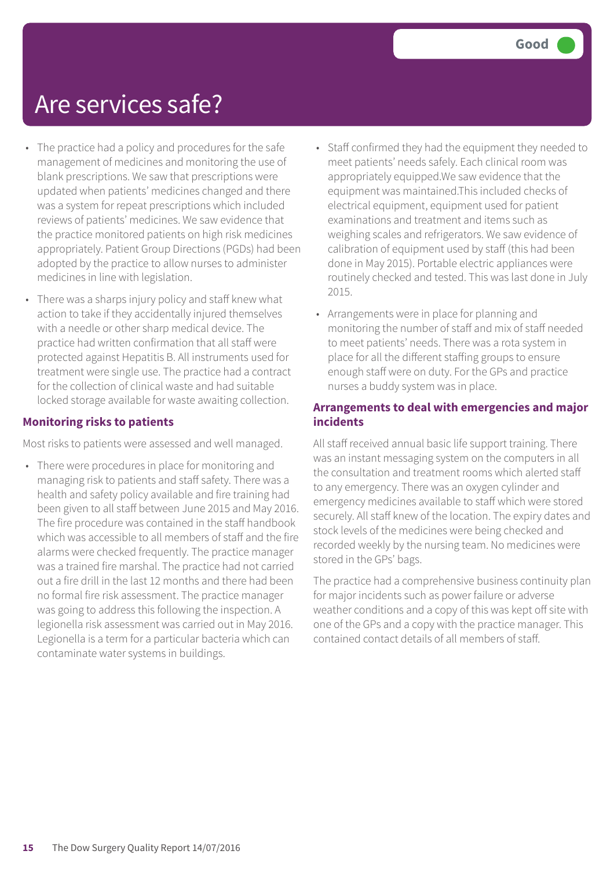### Are services safe?

- The practice had a policy and procedures for the safe management of medicines and monitoring the use of blank prescriptions. We saw that prescriptions were updated when patients' medicines changed and there was a system for repeat prescriptions which included reviews of patients' medicines. We saw evidence that the practice monitored patients on high risk medicines appropriately. Patient Group Directions (PGDs) had been adopted by the practice to allow nurses to administer medicines in line with legislation.
- There was a sharps injury policy and staff knew what action to take if they accidentally injured themselves with a needle or other sharp medical device. The practice had written confirmation that all staff were protected against Hepatitis B. All instruments used for treatment were single use. The practice had a contract for the collection of clinical waste and had suitable locked storage available for waste awaiting collection.

### **Monitoring risks to patients**

Most risks to patients were assessed and well managed.

• There were procedures in place for monitoring and managing risk to patients and staff safety. There was a health and safety policy available and fire training had been given to all staff between June 2015 and May 2016. The fire procedure was contained in the staff handbook which was accessible to all members of staff and the fire alarms were checked frequently. The practice manager was a trained fire marshal. The practice had not carried out a fire drill in the last 12 months and there had been no formal fire risk assessment. The practice manager was going to address this following the inspection. A legionella risk assessment was carried out in May 2016. Legionella is a term for a particular bacteria which can contaminate water systems in buildings.

- Staff confirmed they had the equipment they needed to meet patients' needs safely. Each clinical room was appropriately equipped.We saw evidence that the equipment was maintained.This included checks of electrical equipment, equipment used for patient examinations and treatment and items such as weighing scales and refrigerators. We saw evidence of calibration of equipment used by staff (this had been done in May 2015). Portable electric appliances were routinely checked and tested. This was last done in July 2015.
- Arrangements were in place for planning and monitoring the number of staff and mix of staff needed to meet patients' needs. There was a rota system in place for all the different staffing groups to ensure enough staff were on duty. For the GPs and practice nurses a buddy system was in place.

### **Arrangements to deal with emergencies and major incidents**

All staff received annual basic life support training. There was an instant messaging system on the computers in all the consultation and treatment rooms which alerted staff to any emergency. There was an oxygen cylinder and emergency medicines available to staff which were stored securely. All staff knew of the location. The expiry dates and stock levels of the medicines were being checked and recorded weekly by the nursing team. No medicines were stored in the GPs' bags.

The practice had a comprehensive business continuity plan for major incidents such as power failure or adverse weather conditions and a copy of this was kept off site with one of the GPs and a copy with the practice manager. This contained contact details of all members of staff.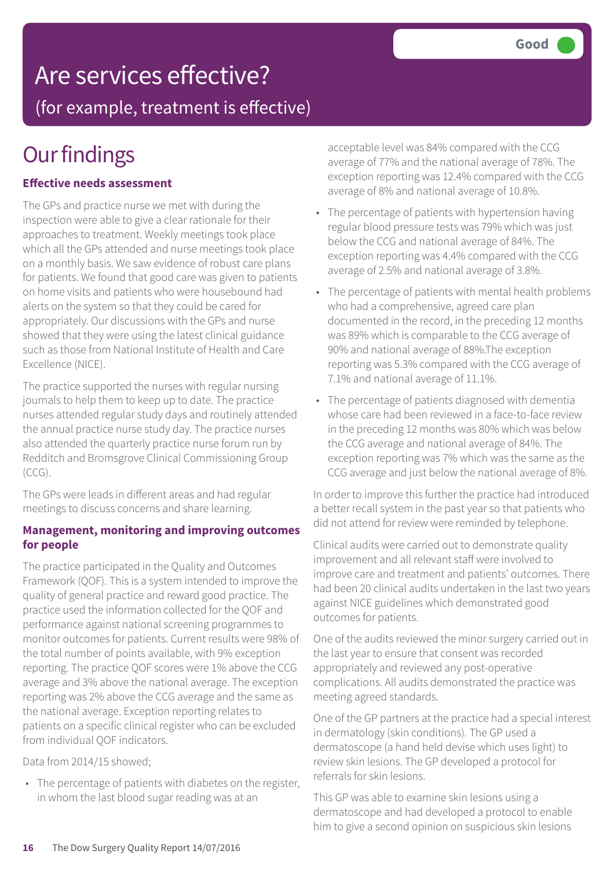# Are services effective?

(for example, treatment is effective)

## **Our findings**

### **Effective needs assessment**

The GPs and practice nurse we met with during the inspection were able to give a clear rationale for their approaches to treatment. Weekly meetings took place which all the GPs attended and nurse meetings took place on a monthly basis. We saw evidence of robust care plans for patients. We found that good care was given to patients on home visits and patients who were housebound had alerts on the system so that they could be cared for appropriately. Our discussions with the GPs and nurse showed that they were using the latest clinical guidance such as those from National Institute of Health and Care Excellence (NICE).

The practice supported the nurses with regular nursing journals to help them to keep up to date. The practice nurses attended regular study days and routinely attended the annual practice nurse study day. The practice nurses also attended the quarterly practice nurse forum run by Redditch and Bromsgrove Clinical Commissioning Group (CCG).

The GPs were leads in different areas and had regular meetings to discuss concerns and share learning.

#### **Management, monitoring and improving outcomes for people**

The practice participated in the Quality and Outcomes Framework (QOF). This is a system intended to improve the quality of general practice and reward good practice. The practice used the information collected for the QOF and performance against national screening programmes to monitor outcomes for patients. Current results were 98% of the total number of points available, with 9% exception reporting. The practice QOF scores were 1% above the CCG average and 3% above the national average. The exception reporting was 2% above the CCG average and the same as the national average. Exception reporting relates to patients on a specific clinical register who can be excluded from individual QOF indicators.

Data from 2014/15 showed;

• The percentage of patients with diabetes on the register, in whom the last blood sugar reading was at an

acceptable level was 84% compared with the CCG average of 77% and the national average of 78%. The exception reporting was 12.4% compared with the CCG average of 8% and national average of 10.8%.

- The percentage of patients with hypertension having regular blood pressure tests was 79% which was just below the CCG and national average of 84%. The exception reporting was 4.4% compared with the CCG average of 2.5% and national average of 3.8%.
- The percentage of patients with mental health problems who had a comprehensive, agreed care plan documented in the record, in the preceding 12 months was 89% which is comparable to the CCG average of 90% and national average of 88%.The exception reporting was 5.3% compared with the CCG average of 7.1% and national average of 11.1%.
- The percentage of patients diagnosed with dementia whose care had been reviewed in a face-to-face review in the preceding 12 months was 80% which was below the CCG average and national average of 84%. The exception reporting was 7% which was the same as the CCG average and just below the national average of 8%.

In order to improve this further the practice had introduced a better recall system in the past year so that patients who did not attend for review were reminded by telephone.

Clinical audits were carried out to demonstrate quality improvement and all relevant staff were involved to improve care and treatment and patients' outcomes. There had been 20 clinical audits undertaken in the last two years against NICE guidelines which demonstrated good outcomes for patients.

One of the audits reviewed the minor surgery carried out in the last year to ensure that consent was recorded appropriately and reviewed any post-operative complications. All audits demonstrated the practice was meeting agreed standards.

One of the GP partners at the practice had a special interest in dermatology (skin conditions). The GP used a dermatoscope (a hand held devise which uses light) to review skin lesions. The GP developed a protocol for referrals for skin lesions.

This GP was able to examine skin lesions using a dermatoscope and had developed a protocol to enable him to give a second opinion on suspicious skin lesions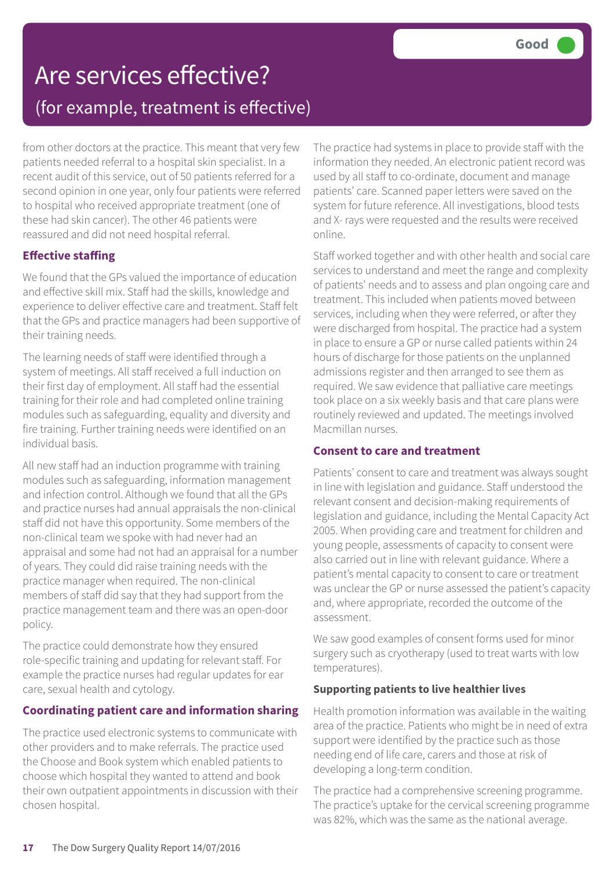### Are services effective? (for example, treatment is effective)

from other doctors at the practice. This meant that very few patients needed referral to a hospital skin specialist. In a recent audit of this service, out of 50 patients referred for a second opinion in one year, only four patients were referred to hospital who received appropriate treatment (one of these had skin cancer). The other 46 patients were reassured and did not need hospital referral.

### **Effective staffing**

We found that the GPs valued the importance of education and effective skill mix. Staff had the skills, knowledge and experience to deliver effective care and treatment. Staff felt that the GPs and practice managers had been supportive of their training needs.

The learning needs of staff were identified through a system of meetings. All staff received a full induction on their first day of employment. All staff had the essential training for their role and had completed online training modules such as safeguarding, equality and diversity and fire training. Further training needs were identified on an individual basis.

All new staff had an induction programme with training modules such as safeguarding, information management and infection control. Although we found that all the GPs and practice nurses had annual appraisals the non-clinical staff did not have this opportunity. Some members of the non-clinical team we spoke with had never had an appraisal and some had not had an appraisal for a number of years. They could did raise training needs with the practice manager when required. The non-clinical members of staff did say that they had support from the practice management team and there was an open-door policy.

The practice could demonstrate how they ensured role-specific training and updating for relevant staff. For example the practice nurses had regular updates for ear care, sexual health and cytology.

### **Coordinating patient care and information sharing**

The practice used electronic systems to communicate with other providers and to make referrals. The practice used the Choose and Book system which enabled patients to choose which hospital they wanted to attend and book their own outpatient appointments in discussion with their chosen hospital.

The practice had systems in place to provide staff with the information they needed. An electronic patient record was used by all staff to co-ordinate, document and manage patients' care. Scanned paper letters were saved on the system for future reference. All investigations, blood tests and X- rays were requested and the results were received online.

Staff worked together and with other health and social care services to understand and meet the range and complexity of patients' needs and to assess and plan ongoing care and treatment. This included when patients moved between services, including when they were referred, or after they were discharged from hospital. The practice had a system in place to ensure a GP or nurse called patients within 24 hours of discharge for those patients on the unplanned admissions register and then arranged to see them as required. We saw evidence that palliative care meetings took place on a six weekly basis and that care plans were routinely reviewed and updated. The meetings involved Macmillan nurses.

#### **Consent to care and treatment**

Patients' consent to care and treatment was always sought in line with legislation and guidance. Staff understood the relevant consent and decision-making requirements of legislation and guidance, including the Mental Capacity Act 2005. When providing care and treatment for children and young people, assessments of capacity to consent were also carried out in line with relevant guidance. Where a patient's mental capacity to consent to care or treatment was unclear the GP or nurse assessed the patient's capacity and, where appropriate, recorded the outcome of the assessment.

We saw good examples of consent forms used for minor surgery such as cryotherapy (used to treat warts with low temperatures).

### **Supporting patients to live healthier lives**

Health promotion information was available in the waiting area of the practice. Patients who might be in need of extra support were identified by the practice such as those needing end of life care, carers and those at risk of developing a long-term condition.

The practice had a comprehensive screening programme. The practice's uptake for the cervical screening programme was 82%, which was the same as the national average.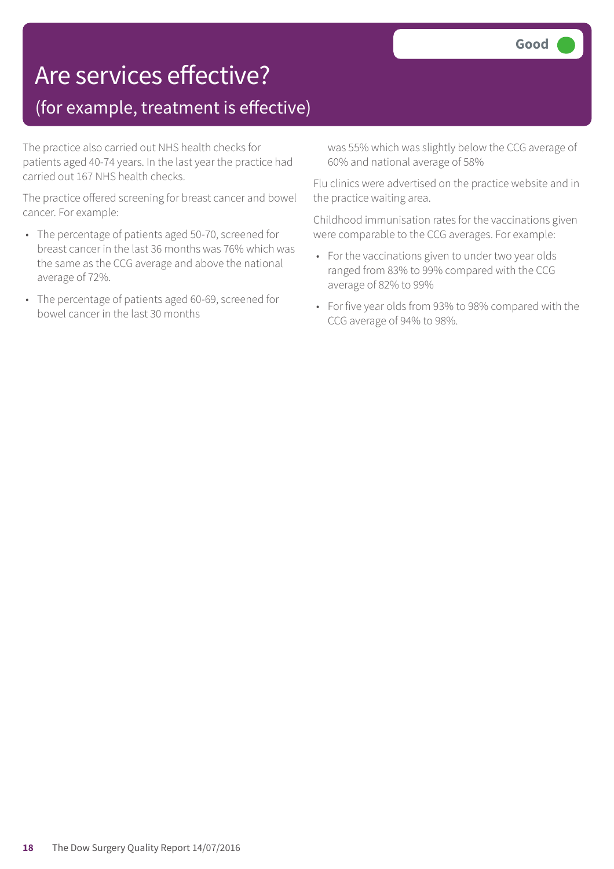### Are services effective?

### (for example, treatment is effective)

The practice also carried out NHS health checks for patients aged 40-74 years. In the last year the practice had carried out 167 NHS health checks.

The practice offered screening for breast cancer and bowel cancer. For example:

- The percentage of patients aged 50-70, screened for breast cancer in the last 36 months was 76% which was the same as the CCG average and above the national average of 72%.
- The percentage of patients aged 60-69, screened for bowel cancer in the last 30 months

was 55% which was slightly below the CCG average of 60% and national average of 58%

Flu clinics were advertised on the practice website and in the practice waiting area.

Childhood immunisation rates for the vaccinations given were comparable to the CCG averages. For example:

- For the vaccinations given to under two year olds ranged from 83% to 99% compared with the CCG average of 82% to 99%
- For five year olds from 93% to 98% compared with the CCG average of 94% to 98%.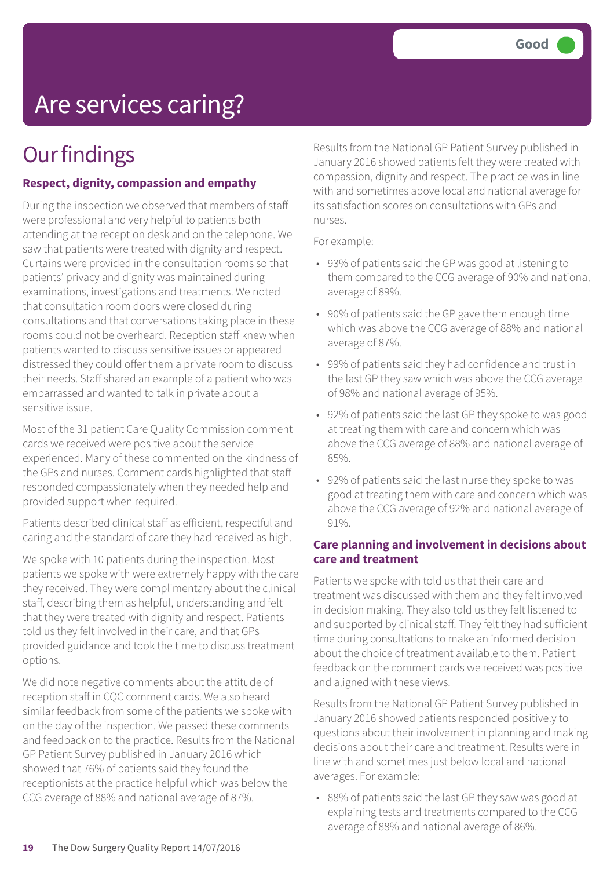# Are services caring?

## **Our findings**

### **Respect, dignity, compassion and empathy**

During the inspection we observed that members of staff were professional and very helpful to patients both attending at the reception desk and on the telephone. We saw that patients were treated with dignity and respect. Curtains were provided in the consultation rooms so that patients' privacy and dignity was maintained during examinations, investigations and treatments. We noted that consultation room doors were closed during consultations and that conversations taking place in these rooms could not be overheard. Reception staff knew when patients wanted to discuss sensitive issues or appeared distressed they could offer them a private room to discuss their needs. Staff shared an example of a patient who was embarrassed and wanted to talk in private about a sensitive issue.

Most of the 31 patient Care Quality Commission comment cards we received were positive about the service experienced. Many of these commented on the kindness of the GPs and nurses. Comment cards highlighted that staff responded compassionately when they needed help and provided support when required.

Patients described clinical staff as efficient, respectful and caring and the standard of care they had received as high.

We spoke with 10 patients during the inspection. Most patients we spoke with were extremely happy with the care they received. They were complimentary about the clinical staff, describing them as helpful, understanding and felt that they were treated with dignity and respect. Patients told us they felt involved in their care, and that GPs provided guidance and took the time to discuss treatment options.

We did note negative comments about the attitude of reception staff in CQC comment cards. We also heard similar feedback from some of the patients we spoke with on the day of the inspection. We passed these comments and feedback on to the practice. Results from the National GP Patient Survey published in January 2016 which showed that 76% of patients said they found the receptionists at the practice helpful which was below the CCG average of 88% and national average of 87%.

Results from the National GP Patient Survey published in January 2016 showed patients felt they were treated with compassion, dignity and respect. The practice was in line with and sometimes above local and national average for its satisfaction scores on consultations with GPs and nurses.

For example:

- 93% of patients said the GP was good at listening to them compared to the CCG average of 90% and national average of 89%.
- 90% of patients said the GP gave them enough time which was above the CCG average of 88% and national average of 87%.
- 99% of patients said they had confidence and trust in the last GP they saw which was above the CCG average of 98% and national average of 95%.
- 92% of patients said the last GP they spoke to was good at treating them with care and concern which was above the CCG average of 88% and national average of 85%.
- 92% of patients said the last nurse they spoke to was good at treating them with care and concern which was above the CCG average of 92% and national average of 91%.

### **Care planning and involvement in decisions about care and treatment**

Patients we spoke with told us that their care and treatment was discussed with them and they felt involved in decision making. They also told us they felt listened to and supported by clinical staff. They felt they had sufficient time during consultations to make an informed decision about the choice of treatment available to them. Patient feedback on the comment cards we received was positive and aligned with these views.

Results from the National GP Patient Survey published in January 2016 showed patients responded positively to questions about their involvement in planning and making decisions about their care and treatment. Results were in line with and sometimes just below local and national averages. For example:

• 88% of patients said the last GP they saw was good at explaining tests and treatments compared to the CCG average of 88% and national average of 86%.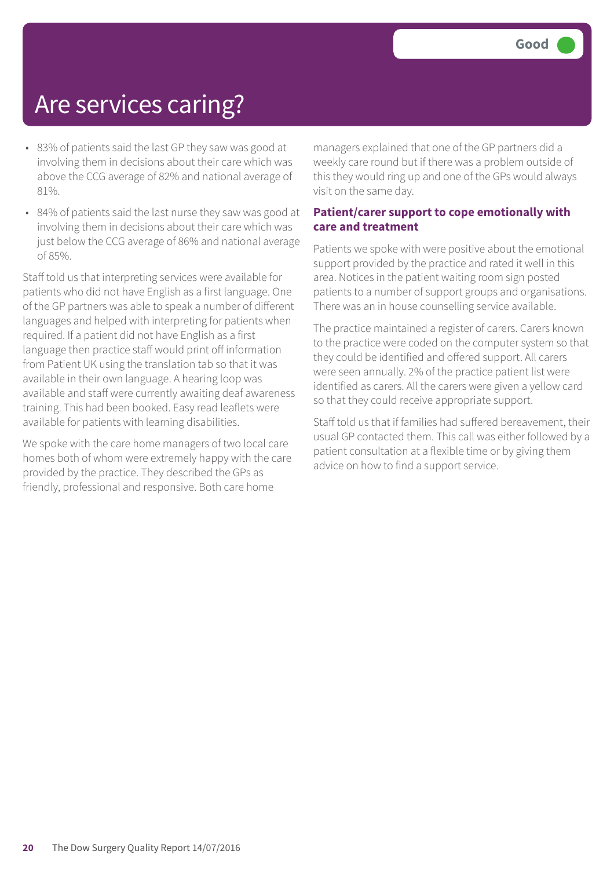### Are services caring?

- 83% of patients said the last GP they saw was good at involving them in decisions about their care which was above the CCG average of 82% and national average of 81%.
- 84% of patients said the last nurse they saw was good at involving them in decisions about their care which was just below the CCG average of 86% and national average of 85%.

Staff told us that interpreting services were available for patients who did not have English as a first language. One of the GP partners was able to speak a number of different languages and helped with interpreting for patients when required. If a patient did not have English as a first language then practice staff would print off information from Patient UK using the translation tab so that it was available in their own language. A hearing loop was available and staff were currently awaiting deaf awareness training. This had been booked. Easy read leaflets were available for patients with learning disabilities.

We spoke with the care home managers of two local care homes both of whom were extremely happy with the care provided by the practice. They described the GPs as friendly, professional and responsive. Both care home

managers explained that one of the GP partners did a weekly care round but if there was a problem outside of this they would ring up and one of the GPs would always visit on the same day.

#### **Patient/carer support to cope emotionally with care and treatment**

Patients we spoke with were positive about the emotional support provided by the practice and rated it well in this area. Notices in the patient waiting room sign posted patients to a number of support groups and organisations. There was an in house counselling service available.

The practice maintained a register of carers. Carers known to the practice were coded on the computer system so that they could be identified and offered support. All carers were seen annually. 2% of the practice patient list were identified as carers. All the carers were given a yellow card so that they could receive appropriate support.

Staff told us that if families had suffered bereavement, their usual GP contacted them. This call was either followed by a patient consultation at a flexible time or by giving them advice on how to find a support service.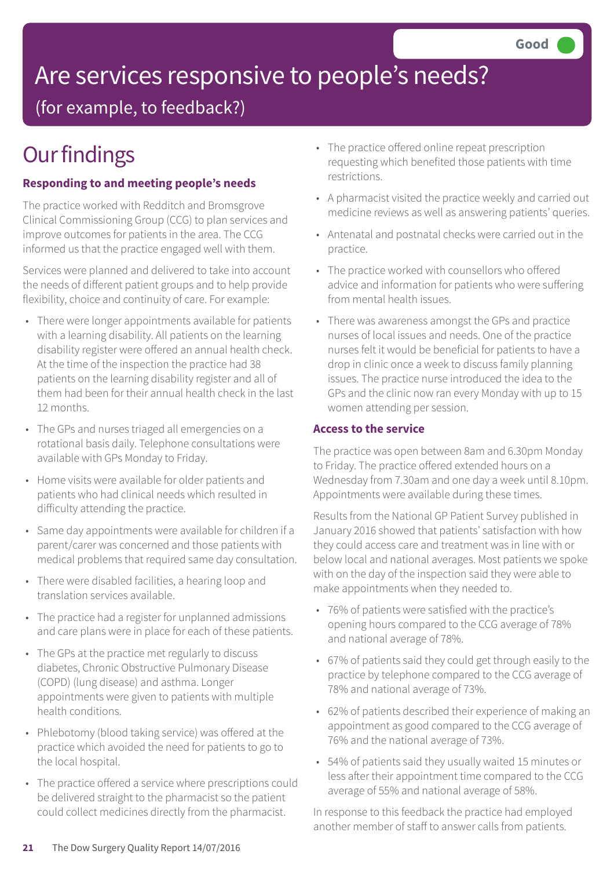# Are services responsive to people's needs?

(for example, to feedback?)

## **Our findings**

### **Responding to and meeting people's needs**

The practice worked with Redditch and Bromsgrove Clinical Commissioning Group (CCG) to plan services and improve outcomes for patients in the area. The CCG informed us that the practice engaged well with them.

Services were planned and delivered to take into account the needs of different patient groups and to help provide flexibility, choice and continuity of care. For example:

- There were longer appointments available for patients with a learning disability. All patients on the learning disability register were offered an annual health check. At the time of the inspection the practice had 38 patients on the learning disability register and all of them had been for their annual health check in the last 12 months.
- The GPs and nurses triaged all emergencies on a rotational basis daily. Telephone consultations were available with GPs Monday to Friday.
- Home visits were available for older patients and patients who had clinical needs which resulted in difficulty attending the practice.
- Same day appointments were available for children if a parent/carer was concerned and those patients with medical problems that required same day consultation.
- There were disabled facilities, a hearing loop and translation services available.
- The practice had a register for unplanned admissions and care plans were in place for each of these patients.
- The GPs at the practice met regularly to discuss diabetes, Chronic Obstructive Pulmonary Disease (COPD) (lung disease) and asthma. Longer appointments were given to patients with multiple health conditions.
- Phlebotomy (blood taking service) was offered at the practice which avoided the need for patients to go to the local hospital.
- The practice offered a service where prescriptions could be delivered straight to the pharmacist so the patient could collect medicines directly from the pharmacist.
- The practice offered online repeat prescription requesting which benefited those patients with time restrictions.
- A pharmacist visited the practice weekly and carried out medicine reviews as well as answering patients' queries.
- Antenatal and postnatal checks were carried out in the practice.
- The practice worked with counsellors who offered advice and information for patients who were suffering from mental health issues.
- There was awareness amongst the GPs and practice nurses of local issues and needs. One of the practice nurses felt it would be beneficial for patients to have a drop in clinic once a week to discuss family planning issues. The practice nurse introduced the idea to the GPs and the clinic now ran every Monday with up to 15 women attending per session.

### **Access to the service**

The practice was open between 8am and 6.30pm Monday to Friday. The practice offered extended hours on a Wednesday from 7.30am and one day a week until 8.10pm. Appointments were available during these times.

Results from the National GP Patient Survey published in January 2016 showed that patients' satisfaction with how they could access care and treatment was in line with or below local and national averages. Most patients we spoke with on the day of the inspection said they were able to make appointments when they needed to.

- 76% of patients were satisfied with the practice's opening hours compared to the CCG average of 78% and national average of 78%.
- 67% of patients said they could get through easily to the practice by telephone compared to the CCG average of 78% and national average of 73%.
- 62% of patients described their experience of making an appointment as good compared to the CCG average of 76% and the national average of 73%.
- 54% of patients said they usually waited 15 minutes or less after their appointment time compared to the CCG average of 55% and national average of 58%.

In response to this feedback the practice had employed another member of staff to answer calls from patients.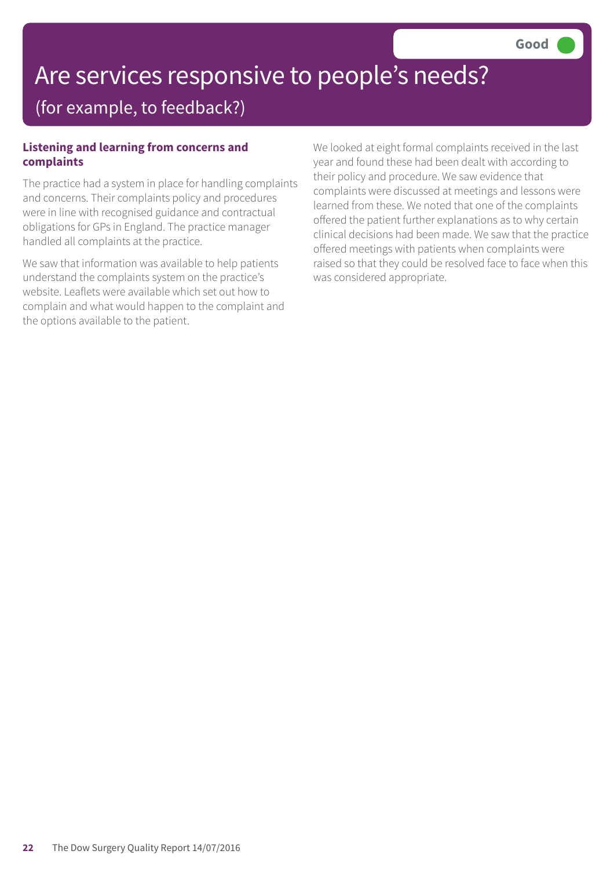# Are services responsive to people's needs?

### (for example, to feedback?)

### **Listening and learning from concerns and complaints**

The practice had a system in place for handling complaints and concerns. Their complaints policy and procedures were in line with recognised guidance and contractual obligations for GPs in England. The practice manager handled all complaints at the practice.

We saw that information was available to help patients understand the complaints system on the practice's website. Leaflets were available which set out how to complain and what would happen to the complaint and the options available to the patient.

We looked at eight formal complaints received in the last year and found these had been dealt with according to their policy and procedure. We saw evidence that complaints were discussed at meetings and lessons were learned from these. We noted that one of the complaints offered the patient further explanations as to why certain clinical decisions had been made. We saw that the practice offered meetings with patients when complaints were raised so that they could be resolved face to face when this was considered appropriate.